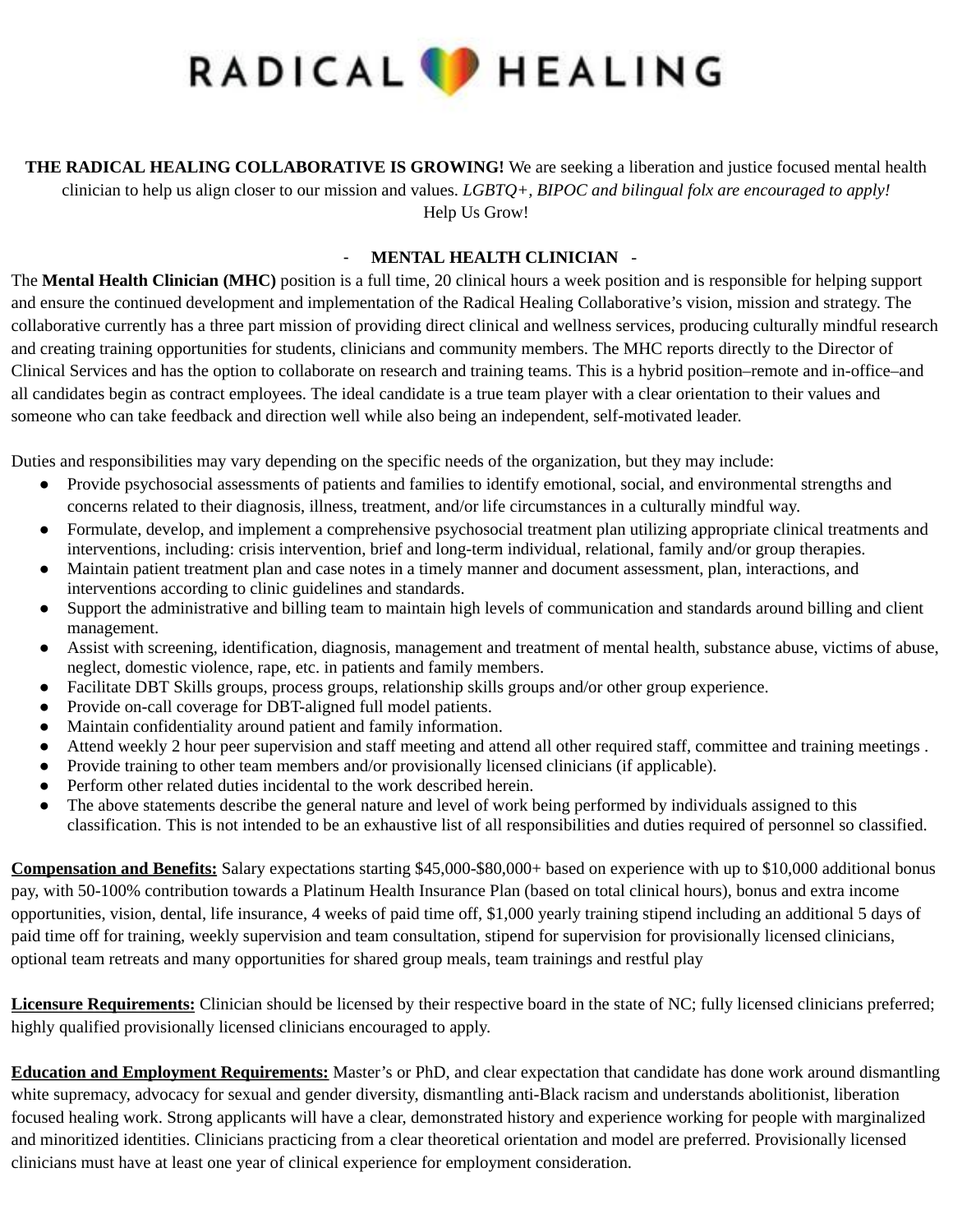

**THE RADICAL HEALING COLLABORATIVE IS GROWING!** We are seeking a liberation and justice focused mental health clinician to help us align closer to our mission and values. *LGBTQ+, BIPOC and bilingual folx are encouraged to apply!* Help Us Grow!

## - **MENTAL HEALTH CLINICIAN** -

The **Mental Health Clinician (MHC)** position is a full time, 20 clinical hours a week position and is responsible for helping support and ensure the continued development and implementation of the Radical Healing Collaborative's vision, mission and strategy. The collaborative currently has a three part mission of providing direct clinical and wellness services, producing culturally mindful research and creating training opportunities for students, clinicians and community members. The MHC reports directly to the Director of Clinical Services and has the option to collaborate on research and training teams. This is a hybrid position–remote and in-office–and all candidates begin as contract employees. The ideal candidate is a true team player with a clear orientation to their values and someone who can take feedback and direction well while also being an independent, self-motivated leader.

Duties and responsibilities may vary depending on the specific needs of the organization, but they may include:

- Provide psychosocial assessments of patients and families to identify emotional, social, and environmental strengths and concerns related to their diagnosis, illness, treatment, and/or life circumstances in a culturally mindful way.
- Formulate, develop, and implement a comprehensive psychosocial treatment plan utilizing appropriate clinical treatments and interventions, including: crisis intervention, brief and long-term individual, relational, family and/or group therapies.
- Maintain patient treatment plan and case notes in a timely manner and document assessment, plan, interactions, and interventions according to clinic guidelines and standards.
- Support the administrative and billing team to maintain high levels of communication and standards around billing and client management.
- Assist with screening, identification, diagnosis, management and treatment of mental health, substance abuse, victims of abuse, neglect, domestic violence, rape, etc. in patients and family members.
- Facilitate DBT Skills groups, process groups, relationship skills groups and/or other group experience.
- Provide on-call coverage for DBT-aligned full model patients.
- Maintain confidentiality around patient and family information.
- Attend weekly 2 hour peer supervision and staff meeting and attend all other required staff, committee and training meetings .
- Provide training to other team members and/or provisionally licensed clinicians (if applicable).
- Perform other related duties incidental to the work described herein.
- The above statements describe the general nature and level of work being performed by individuals assigned to this classification. This is not intended to be an exhaustive list of all responsibilities and duties required of personnel so classified.

**Compensation and Benefits:** Salary expectations starting \$45,000-\$80,000+ based on experience with up to \$10,000 additional bonus pay, with 50-100% contribution towards a Platinum Health Insurance Plan (based on total clinical hours), bonus and extra income opportunities, vision, dental, life insurance, 4 weeks of paid time off, \$1,000 yearly training stipend including an additional 5 days of paid time off for training, weekly supervision and team consultation, stipend for supervision for provisionally licensed clinicians, optional team retreats and many opportunities for shared group meals, team trainings and restful play

**Licensure Requirements:** Clinician should be licensed by their respective board in the state of NC; fully licensed clinicians preferred; highly qualified provisionally licensed clinicians encouraged to apply.

**Education and Employment Requirements:** Master's or PhD, and clear expectation that candidate has done work around dismantling white supremacy, advocacy for sexual and gender diversity, dismantling anti-Black racism and understands abolitionist, liberation focused healing work. Strong applicants will have a clear, demonstrated history and experience working for people with marginalized and minoritized identities. Clinicians practicing from a clear theoretical orientation and model are preferred. Provisionally licensed clinicians must have at least one year of clinical experience for employment consideration.